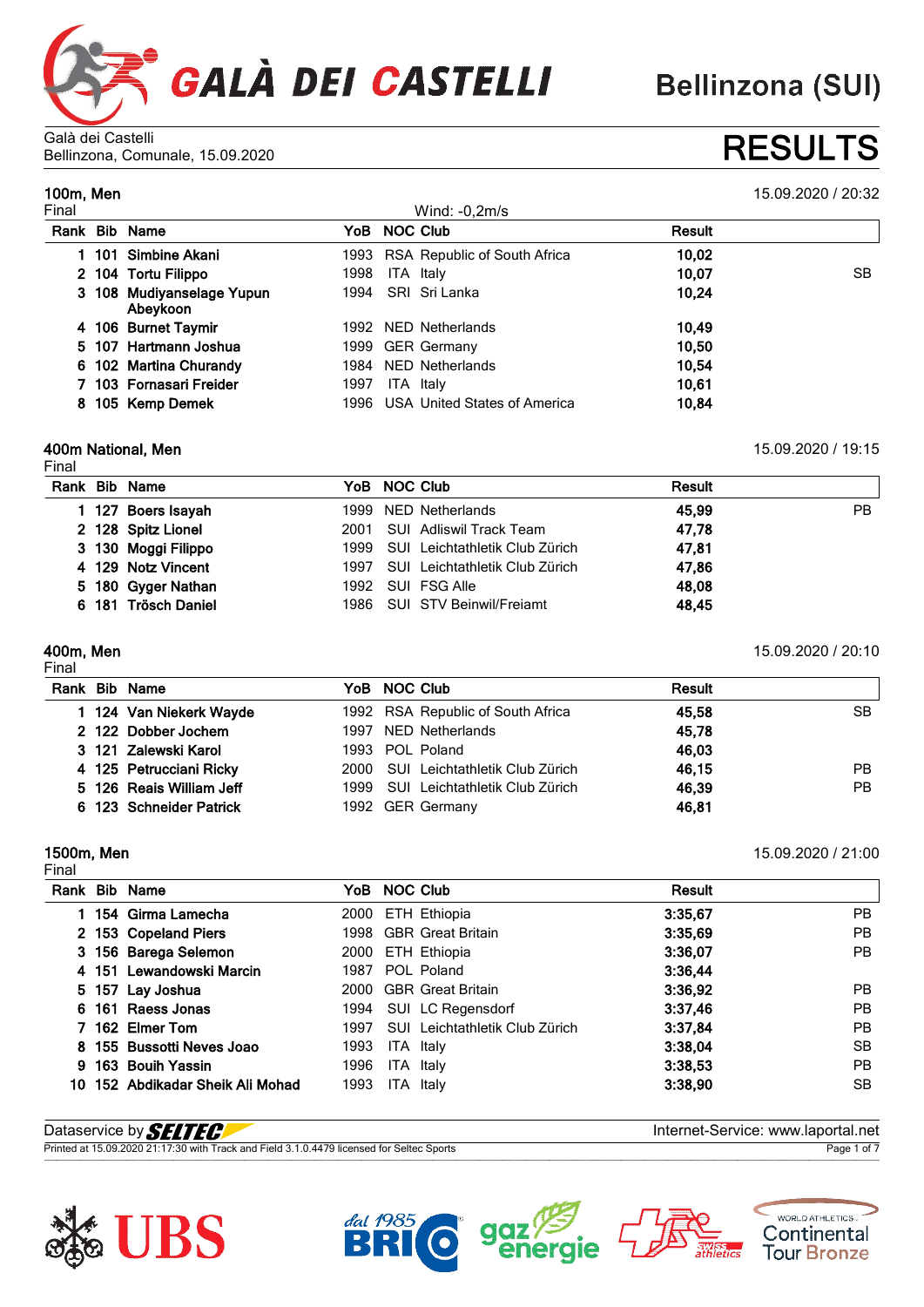

**Bellinzona (SUI)** 

Galà dei Castelli Bellinzona, Comunale, 15.09.2020 **RESULTS**

**100m, Men** 15.09.2020 / 20:32

|          |                                                                                                                                                                                                               | Wind: $-0,2m/s$ |                                                                                                                                                           |     |
|----------|---------------------------------------------------------------------------------------------------------------------------------------------------------------------------------------------------------------|-----------------|-----------------------------------------------------------------------------------------------------------------------------------------------------------|-----|
|          |                                                                                                                                                                                                               | <b>NOC Club</b> | Result                                                                                                                                                    |     |
|          |                                                                                                                                                                                                               |                 | 10,02                                                                                                                                                     |     |
|          | 1998                                                                                                                                                                                                          | ITA Italy       | 10,07                                                                                                                                                     | SB. |
| Abeykoon |                                                                                                                                                                                                               | SRI Sri Lanka   | 10,24                                                                                                                                                     |     |
|          |                                                                                                                                                                                                               |                 | 10,49                                                                                                                                                     |     |
|          |                                                                                                                                                                                                               |                 | 10,50                                                                                                                                                     |     |
|          |                                                                                                                                                                                                               |                 | 10.54                                                                                                                                                     |     |
|          | 1997                                                                                                                                                                                                          | ITA Italy       | 10,61                                                                                                                                                     |     |
|          |                                                                                                                                                                                                               |                 | 10.84                                                                                                                                                     |     |
|          | Rank Bib Name<br>101 Simbine Akani<br>2 104 Tortu Filippo<br>3 108 Mudiyanselage Yupun<br>4 106 Burnet Taymir<br>5 107 Hartmann Joshua<br>6 102 Martina Churandy<br>7 103 Fornasari Freider<br>105 Kemp Demek |                 | YoB<br>1993 RSA Republic of South Africa<br>1994<br>1992 NED Netherlands<br>1999 GER Germany<br>1984 NED Netherlands<br>1996 USA United States of America |     |

#### **400m National, Men** 15.09.2020 / 19:15

Final

|  | Rank Bib Name       | YoB NOC Club                        | Result       |
|--|---------------------|-------------------------------------|--------------|
|  |                     |                                     |              |
|  | 1 127 Boers Isayah  | 1999 NED Netherlands                | 45,99<br>PB. |
|  | 2 128 Spitz Lionel  | 2001 SUI Adliswil Track Team        | 47.78        |
|  | 3 130 Moggi Filippo | 1999 SUI Leichtathletik Club Zürich | 47,81        |
|  | 4 129 Notz Vincent  | 1997 SUI Leichtathletik Club Zürich | 47,86        |
|  | 5 180 Gyger Nathan  | 1992 SUI FSG Alle                   | 48,08        |
|  | 6 181 Trösch Daniel | 1986 SUI STV Beinwil/Freiamt        | 48,45        |
|  |                     |                                     |              |

Final

**400m, Men** 15.09.2020 / 20:10

|  | Rank Bib Name            | YoB NOC Club                        | Result |           |
|--|--------------------------|-------------------------------------|--------|-----------|
|  | 1 124 Van Niekerk Wayde  | 1992 RSA Republic of South Africa   | 45.58  | SB        |
|  | 2 122 Dobber Jochem      | 1997 NED Netherlands                | 45,78  |           |
|  | 3 121 Zalewski Karol     | 1993 POL Poland                     | 46.03  |           |
|  | 4 125 Petrucciani Ricky  | 2000 SUI Leichtathletik Club Zürich | 46,15  | <b>PB</b> |
|  | 5 126 Reais William Jeff | 1999 SUI Leichtathletik Club Zürich | 46,39  | PB.       |
|  | 6 123 Schneider Patrick  | 1992 GER Germany                    | 46,81  |           |

## Final

**1500m, Men** 15.09.2020 / 21:00

|  | Rank Bib Name                    |      | YoB NOC Club                   | Result  |           |
|--|----------------------------------|------|--------------------------------|---------|-----------|
|  | 154 Girma Lamecha                | 2000 | ETH Ethiopia                   | 3:35.67 | <b>PB</b> |
|  | 2 153 Copeland Piers             |      | 1998 GBR Great Britain         | 3:35.69 | <b>PB</b> |
|  | 3 156 Barega Selemon             | 2000 | ETH Ethiopia                   | 3:36.07 | PB        |
|  | 4 151 Lewandowski Marcin         | 1987 | POL Poland                     | 3:36,44 |           |
|  | 5 157 Lay Joshua                 | 2000 | <b>GBR Great Britain</b>       | 3:36,92 | PB.       |
|  | 6 161 Raess Jonas                | 1994 | SUI LC Regensdorf              | 3:37,46 | <b>PB</b> |
|  | 7 162 Elmer Tom                  | 1997 | SUI Leichtathletik Club Zürich | 3:37.84 | <b>PB</b> |
|  | 8 155 Bussotti Neves Joao        | 1993 | ITA Italy                      | 3:38.04 | SB        |
|  | 9 163 Bouih Yassin               | 1996 | ITA Italy                      | 3:38,53 | PB        |
|  | 10 152 Abdikadar Sheik Ali Mohad | 1993 | ITA<br>Italy                   | 3:38,90 | <b>SB</b> |

| Dataservice by <b><i>SELTEC</i></b>                                                       | Internet-Service: www.laportal.net |
|-------------------------------------------------------------------------------------------|------------------------------------|
| Printed at 15.09.2020 21:17:30 with Track and Field 3.1.0.4479 licensed for Seltec Sports | Page 1 of 7                        |







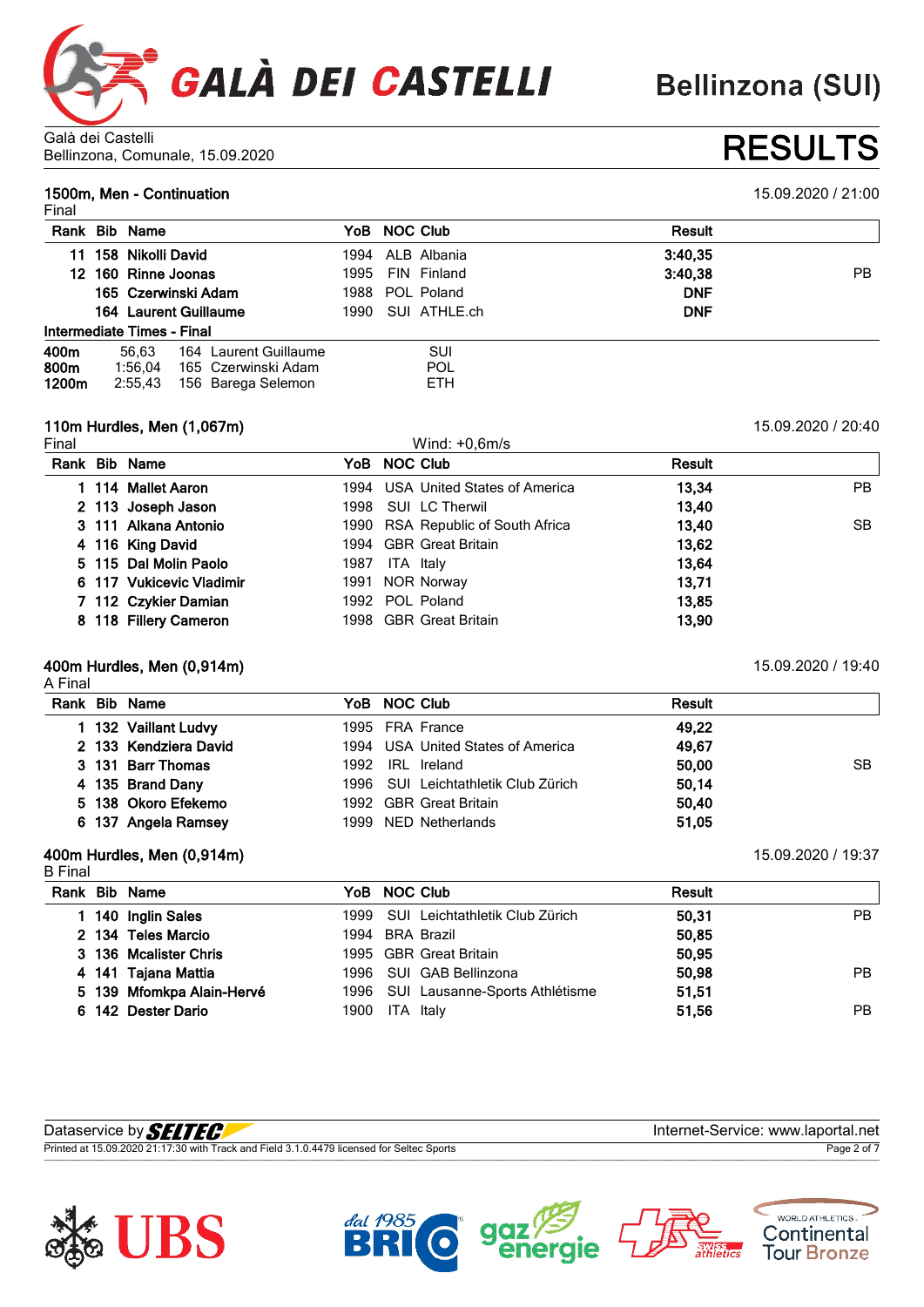

Galà dei Castelli Bellinzona, Comunale, 15.09.2020 **RESULTS**

### **1500m, Men - Continuation** 15.09.2020 / 21:00

| Final |                            |                       |      |                  |               |           |
|-------|----------------------------|-----------------------|------|------------------|---------------|-----------|
| Rank  | <b>Bib</b> Name            |                       |      | YoB NOC Club     | <b>Result</b> |           |
| 11    | 158 Nikolli David          |                       |      | 1994 ALB Albania | 3:40,35       |           |
|       | 12 160 Rinne Joonas        |                       | 1995 | FIN Finland      | 3:40,38       | <b>PB</b> |
|       | 165 Czerwinski Adam        |                       | 1988 | POL Poland       | <b>DNF</b>    |           |
|       | 164 Laurent Guillaume      |                       | 1990 | SUI ATHLE.ch     | <b>DNF</b>    |           |
|       | Intermediate Times - Final |                       |      |                  |               |           |
| 400m  | 56.63                      | 164 Laurent Guillaume |      | SUI              |               |           |
| 800m  | 1:56.04                    | 165 Czerwinski Adam   |      | POL              |               |           |
| 1200m | 2:55,43                    | 156 Barega Selemon    |      | ETH.             |               |           |

#### **110m Hurdles, Men (1,067m)** 15.09.2020 / 20:40

Final Wind: +0,6m/s **Rank Bib Name YoB NOC Club Result 114 Mallet Aaron** 1994 USA United States of America **13,34** PB **113 Joseph Jason** 1998 SUI LC Therwil **13,40 111 Alkana Antonio** 1990 RSA Republic of South Africa **13,40** SB **116 King David** 1994 GBR Great Britain **13,62 115 Dal Molin Paolo** 1987 ITA Italy **13,64 117 Vukicevic Vladimir** 1991 NOR Norway **13,71 112 Czykier Damian** 1992 POL Poland **13,85 118 Fillery Cameron** 1998 GBR Great Britain **13,90**

#### **400m Hurdles, Men (0,914m)** 15.09.2020 / 19:40

A Final

|  | Rank Bib Name         | YoB NOC Club                        | Result      |
|--|-----------------------|-------------------------------------|-------------|
|  | 132 Vaillant Ludvy    | 1995 FRA France                     | 49.22       |
|  | 2 133 Kendziera David | 1994 USA United States of America   | 49,67       |
|  | 3 131 Barr Thomas     | 1992 IRL Ireland                    | 50.00<br>SB |
|  | 4 135 Brand Dany      | 1996 SUI Leichtathletik Club Zürich | 50.14       |
|  | 5 138 Okoro Efekemo   | 1992 GBR Great Britain              | 50.40       |
|  | 6 137 Angela Ramsey   | 1999 NED Netherlands                | 51,05       |

### **400m Hurdles, Men (0,914m)** 15.09.2020 / 19:37

| <b>B</b> Final |                           |      |                                     |               |     |
|----------------|---------------------------|------|-------------------------------------|---------------|-----|
|                | Rank Bib Name             |      | YoB NOC Club                        | <b>Result</b> |     |
|                | 1 140 Inglin Sales        |      | 1999 SUI Leichtathletik Club Zürich | 50.31         | PB. |
|                | 2 134 Teles Marcio        |      | 1994 BRA Brazil                     | 50,85         |     |
|                | 3 136 Mcalister Chris     |      | 1995 GBR Great Britain              | 50.95         |     |
|                | 4 141 Tajana Mattia       |      | 1996 SUI GAB Bellinzona             | 50,98         | PB. |
|                | 5 139 Mfomkpa Alain-Hervé |      | 1996 SUI Lausanne-Sports Athlétisme | 51,51         |     |
|                | 6 142 Dester Dario        | 1900 | ITA Italy                           | 51.56         | PB. |

| Dataservice by <b>SELTEC</b>                                                              | Internet-Service: www.laportal.net |
|-------------------------------------------------------------------------------------------|------------------------------------|
| Printed at 15.09.2020 21:17:30 with Track and Field 3.1.0.4479 licensed for Seltec Sports | Page 2 of 7                        |







WORLD ATHLETICS.

Continental **Tour Bronze**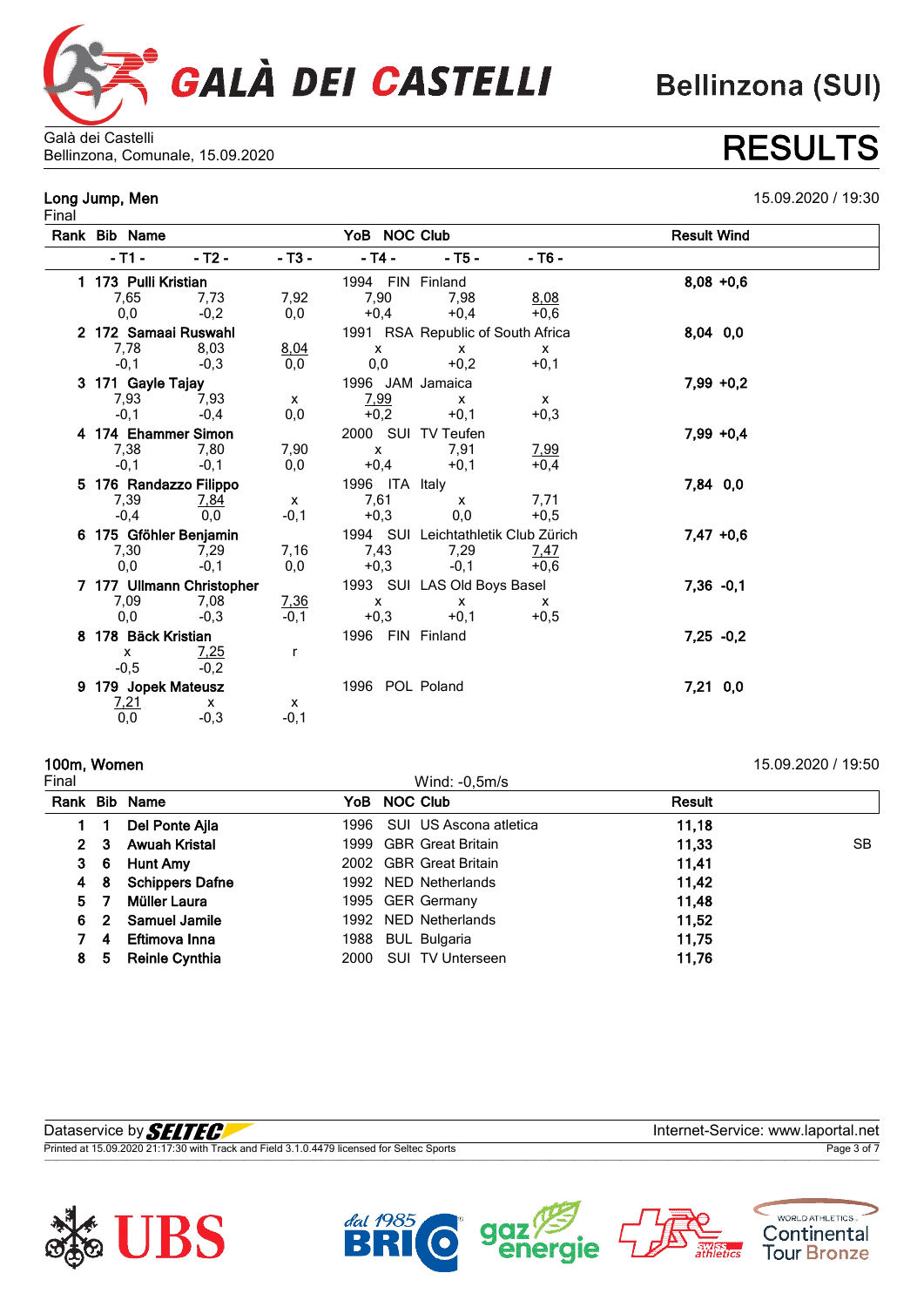

Galà dei Castelli Bellinzona, Comunale, 15.09.2020 **RESULTS**

# Final

**Long Jump, Men** 15.09.2020 / 19:30

|    | Rank Bib Name |                           |              |                |              | YoB NOC Club                        |              | <b>Result Wind</b> |              |
|----|---------------|---------------------------|--------------|----------------|--------------|-------------------------------------|--------------|--------------------|--------------|
|    | $-11 -$       | - T2 -                    | $- T3 -$     | $-$ T4 $-$     |              | $-$ T5 $-$                          | - T6 -       |                    |              |
|    |               | 1 173 Pulli Kristian      |              |                |              | 1994 FIN Finland                    |              |                    | $8,08 + 0,6$ |
|    | 7,65          | 7.73                      | 7,92         | 7,90           |              | 7.98                                | 8,08         |                    |              |
|    | 0,0           | $-0,2$                    | 0,0          |                | $+0,4$       | $+0.4$                              | $+0,6$       |                    |              |
|    |               | 2 172 Samaai Ruswahl      |              |                |              | 1991 RSA Republic of South Africa   |              |                    | 8,04 0,0     |
|    | 7,78          | 8,03                      | 8,04         |                | x            | x                                   | X            |                    |              |
|    | $-0,1$        | $-0,3$                    | 0,0          | 0,0            |              | $+0,2$                              | $+0,1$       |                    |              |
|    |               | 3 171 Gayle Tajay         |              |                |              | 1996 JAM Jamaica                    |              |                    | $7,99 +0,2$  |
|    | 7,93          | 7,93                      | $\mathsf{x}$ |                | 7,99         | $\mathsf{x}$                        | $\mathsf{x}$ |                    |              |
|    | $-0,1$        | $-0.4$                    | 0,0          |                | $+0,2$       | $+0,1$                              | $+0,3$       |                    |              |
|    |               | 4 174 Ehammer Simon       |              |                |              | 2000 SUI TV Teufen                  |              |                    | $7,99 +0,4$  |
|    | 7,38          | 7,80                      | 7,90         | $\mathsf{x}$   |              | 7,91                                | 7,99         |                    |              |
|    | $-0,1$        | $-0,1$                    | 0,0          | $+0,4$         |              | $+0,1$                              | $+0,4$       |                    |              |
|    |               | 5 176 Randazzo Filippo    |              | 1996 ITA Italy |              |                                     |              |                    | 7,84 0,0     |
|    | 7,39          | 7,84                      | $\mathsf{x}$ | 7,61           |              | $\mathsf{x}$                        | 7,71         |                    |              |
|    | $-0,4$        | 0,0                       | $-0,1$       |                | $+0,3$       | 0,0                                 | $+0,5$       |                    |              |
|    |               | 6 175 Gföhler Benjamin    |              |                |              | 1994 SUI Leichtathletik Club Zürich |              |                    | $7,47 +0,6$  |
|    | 7,30          | 7,29                      | 7,16         |                | 7,43         | 7,29                                | 7,47         |                    |              |
|    | 0,0           | $-0,1$                    | 0,0          | $+0,3$         |              | $-0,1$                              | $+0,6$       |                    |              |
|    |               | 7 177 Ullmann Christopher |              |                |              | 1993 SUI LAS Old Boys Basel         |              |                    | $7,36 -0,1$  |
|    | 7,09          | 7,08                      | 7,36         |                | $\mathsf{x}$ | $\mathsf{x}$                        | $\mathsf{x}$ |                    |              |
|    | 0,0           | $-0.3$                    | $-0.1$       |                | $+0,3$       | $+0,1$                              | $+0,5$       |                    |              |
| 8. |               | 178 Bäck Kristian         |              |                |              | 1996 FIN Finland                    |              |                    | $7,25 -0,2$  |
|    | $\mathsf{x}$  | 7,25                      | r            |                |              |                                     |              |                    |              |
|    | $-0,5$        | $-0,2$                    |              |                |              |                                     |              |                    |              |
| 9. |               | 179 Jopek Mateusz         |              |                |              | 1996 POL Poland                     |              |                    | 7,21 0,0     |
|    | 7,21          | X                         | X            |                |              |                                     |              |                    |              |
|    | 0,0           | $-0,3$                    | $-0,1$       |                |              |                                     |              |                    |              |

# **100m, Women** 15.09.2020 / 19:50

Wind:  $-0,5m/s$ 

**Rank Bib Name YoB NOC Club Result 1 Del Ponte Ajla** 1996 SUI US Ascona atletica **11,18 3 Awuah Kristal** 1999 GBR Great Britain **11,33** SB **6 Hunt Amy** 2002 GBR Great Britain **11,41 8 Schippers Dafne** 1992 NED Netherlands **11,42 7 Müller Laura** 1995 GER Germany **11,48 2 Samuel Jamile** 1992 NED Netherlands **11,52 4 Eftimova Inna** 1988 BUL Bulgaria **11,75 5 Reinle Cynthia** 2000 SUI TV Unterseen **11,76**

| Dataservice by S                                                                          | rnet-Service: www.lapo |
|-------------------------------------------------------------------------------------------|------------------------|
| Printed at 15.09.2020 21:17:30 with Track and Field 3.1.0.4479 licensed for Seltec Sports | Pane 3                 |
|                                                                                           |                        |







WORLD ATHLETICS.

Continental **Tour Bronze** 

# **Bellinzona (SUI)**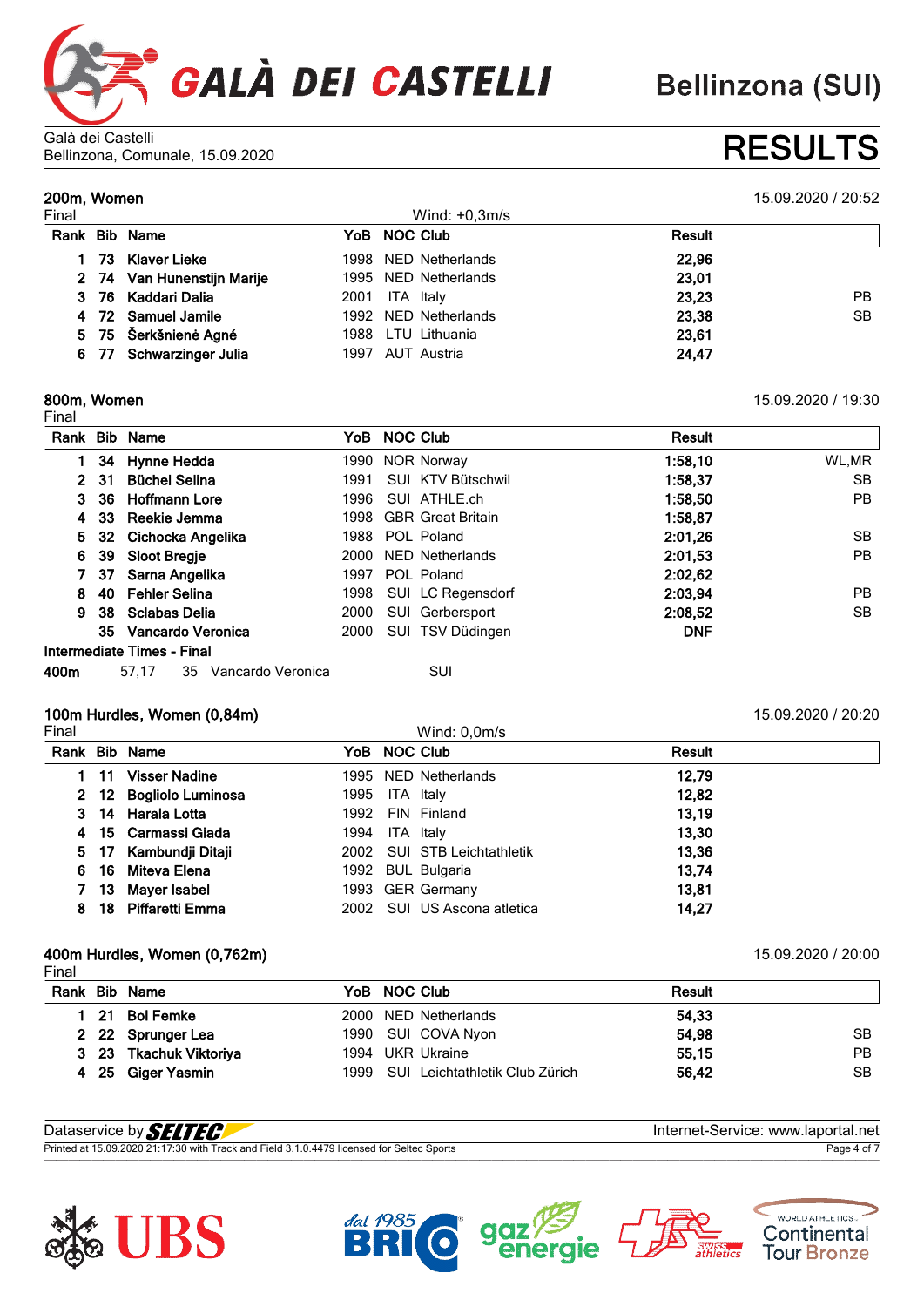

Galà dei Castelli Bellinzona, Comunale, 15.09.2020 **RESULTS**

**200m, Women** 15.09.2020 / 20:52

| Final |                            |      | Wind: $+0,3m/s$      |               |           |
|-------|----------------------------|------|----------------------|---------------|-----------|
| Rank  | <b>Bib Name</b>            |      | YoB NOC Club         | <b>Result</b> |           |
|       | 73 Klaver Lieke            |      | 1998 NED Netherlands | 22,96         |           |
|       | 2 74 Van Hunenstijn Marije |      | 1995 NED Netherlands | 23,01         |           |
|       | 3 76 Kaddari Dalia         | 2001 | ITA Italy            | 23,23         | <b>PB</b> |
|       | 4 72 Samuel Jamile         |      | 1992 NED Netherlands | 23,38         | <b>SB</b> |
|       | 5 75 Šerkšnienė Agné       |      | 1988 LTU Lithuania   | 23,61         |           |
|       | 6 77 Schwarzinger Julia    |      | 1997 AUT Austria     | 24,47         |           |

#### **800m, Women** 15.09.2020 / 19:30

Final **Rank Bib Name YoB NOC Club Result 34 Hynne Hedda** 1990 NOR Norway **1:58,10** WL,MR **31 Büchel Selina** 1991 SUI KTV Bütschwil **1:58,37** SB **36 Hoffmann Lore** 1996 SUI ATHLE.ch **1:58,50** PB **33 Reekie Jemma** 1998 GBR Great Britain **1:58,87 32 Cichocka Angelika** 1988 POL Poland **2:01,26** SB **39 Sloot Bregje** 2000 NED Netherlands **2:01,53** PB **37 Sarna Angelika** 1997 POL Poland **2:02,62 40 Fehler Selina** 1998 SUI LC Regensdorf **2:03,94** PB **38 Sclabas Delia** 2000 SUI Gerbersport **2:08,52** SB **Vancardo Veronica** 2000 SUI TSV Düdingen **DNF Intermediate Times - Final**

**400m** 57,17 35 Vancardo Veronica SUI

### **100m Hurdles, Women (0,84m)** 15.09.2020 / 20:20

| Final |      |                        |                |           | Wind: $0,0m/s$              |        |
|-------|------|------------------------|----------------|-----------|-----------------------------|--------|
| Rank  |      | <b>Bib Name</b>        |                |           | YoB NOC Club                | Result |
|       | 1 11 | <b>Visser Nadine</b>   |                |           | 1995 NED Netherlands        | 12,79  |
|       |      | 2 12 Bogliolo Luminosa | 1995 ITA Italy |           |                             | 12,82  |
|       |      | 3 14 Harala Lotta      | 1992           |           | FIN Finland                 | 13,19  |
|       |      | 4 15 Carmassi Giada    | 1994           | ITA Italy |                             | 13,30  |
|       |      | 5 17 Kambundji Ditaji  |                |           | 2002 SUI STB Leichtathletik | 13,36  |
| 6.    |      | 16 Miteva Elena        |                |           | 1992 BUL Bulgaria           | 13,74  |
|       |      | 13 Mayer Isabel        |                |           | 1993 GER Germany            | 13,81  |
| 8     |      | 18 Piffaretti Emma     |                |           | 2002 SUI US Ascona atletica | 14.27  |

### **400m Hurdles, Women (0,762m)** 15.09.2020 / 20:00

|  |                                                                                                   | <b>Result</b>                                                                                                         |    |
|--|---------------------------------------------------------------------------------------------------|-----------------------------------------------------------------------------------------------------------------------|----|
|  |                                                                                                   | 54,33                                                                                                                 |    |
|  |                                                                                                   | 54,98                                                                                                                 | SB |
|  |                                                                                                   | 55,15                                                                                                                 | РB |
|  |                                                                                                   | 56,42                                                                                                                 | SВ |
|  | Rank Bib Name<br>21 Bol Femke<br>2 22 Sprunger Lea<br>3 23 Tkachuk Viktoriya<br>4 25 Giger Yasmin | YoB NOC Club<br>2000 NED Netherlands<br>1990 SUI COVA Nyon<br>1994 UKR Ukraine<br>1999 SUI Leichtathletik Club Zürich |    |

| Dataservice by <b>SELTEC</b>                                                              | Internet-Service: www.laportal.net |
|-------------------------------------------------------------------------------------------|------------------------------------|
| Printed at 15.09.2020 21:17:30 with Track and Field 3.1.0.4479 licensed for Seltec Sports | Page 4 of 7                        |







WORLD ATHLETICS. Continental **Tour Bronze**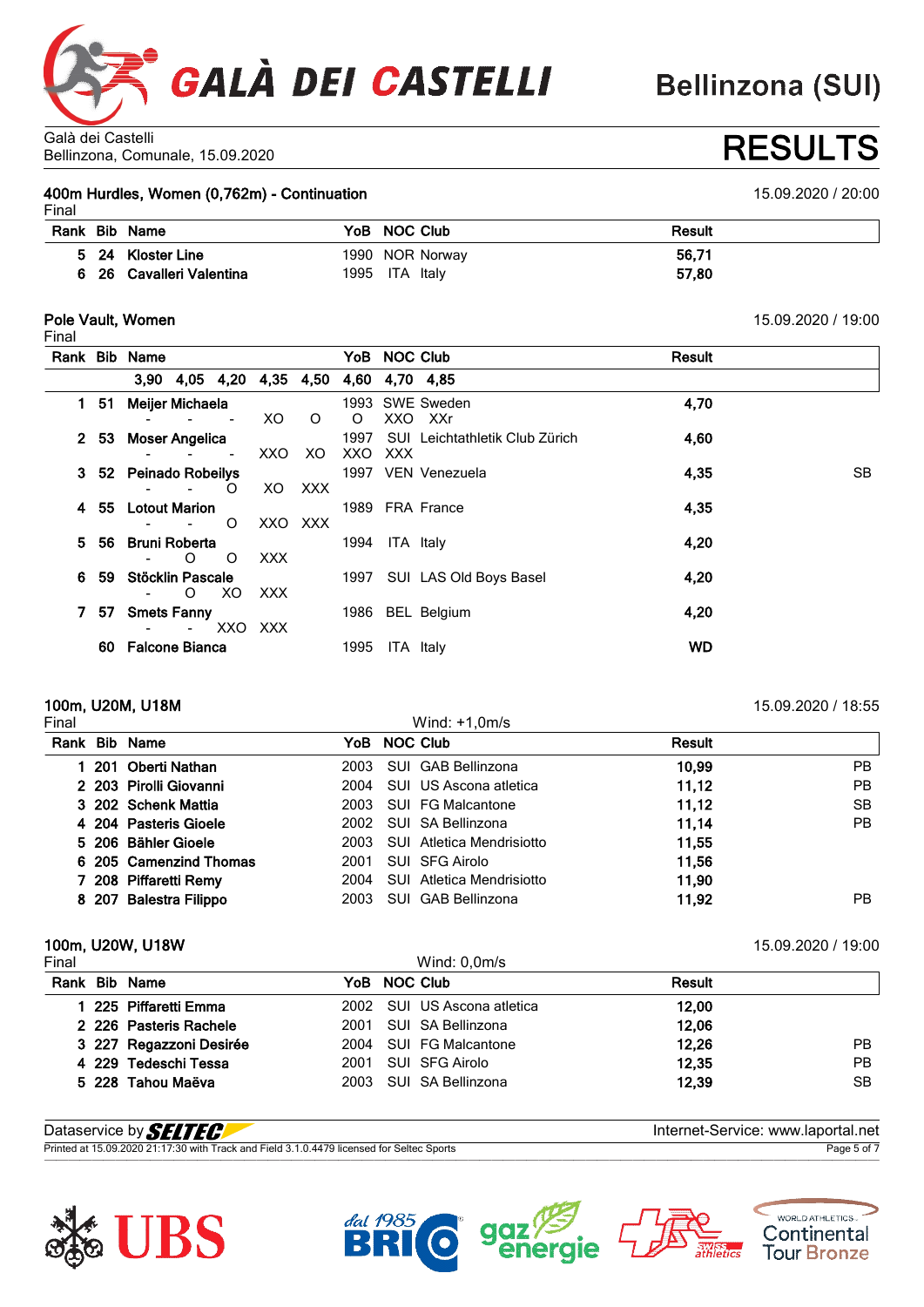

# Bellinzona, Comunale, 15.09.2020 **RESULTS**

**400m Hurdles, Women (0,762m) - Continuation** 15.09.2020 / 20:00

|       | 400m Hurdles, Women (0,762m) - Continuation |  |
|-------|---------------------------------------------|--|
| Final |                                             |  |

| . |                        |                 |               |
|---|------------------------|-----------------|---------------|
|   | Rank Bib Name          | YoB NOC Club    | <b>Result</b> |
|   | 5 24 Kloster Line      | 1990 NOR Norway | 56,71         |
|   | 26 Cavalleri Valentina | 1995 ITA Italy  | 57,80         |

### **Pole Vault, Women** 15.09.2020 / 19:00

Final

|    |      | Rank Bib Name         |             |                          |         |         |                |           | YoB NOC Club                            | Result    |           |
|----|------|-----------------------|-------------|--------------------------|---------|---------|----------------|-----------|-----------------------------------------|-----------|-----------|
|    |      |                       |             |                          |         |         |                |           | 3,90 4,05 4,20 4,35 4,50 4,60 4,70 4,85 |           |           |
|    | 1 51 | Meijer Michaela       |             |                          | XO.     | $\circ$ | $\circ$        | XXO       | 1993 SWE Sweden<br>XXr                  | 4,70      |           |
|    | 2 53 | <b>Moser Angelica</b> |             | $\overline{\phantom{a}}$ | XXO XO  |         | XXO            | XXX       | 1997 SUI Leichtathletik Club Zürich     | 4,60      |           |
|    |      | 3 52 Peinado Robeilys |             | $\circ$                  |         | XO XXX  |                |           | 1997 VEN Venezuela                      | 4,35      | <b>SB</b> |
|    |      | 4 55 Lotout Marion    |             | $\circ$                  | XXO XXX |         |                |           | 1989 FRA France                         | 4,35      |           |
|    | 556  | <b>Bruni Roberta</b>  | $-$ 0 0     |                          | XXX X   |         | 1994 ITA Italy |           |                                         | 4,20      |           |
| 6. | -59  | Stöcklin Pascale      | - O XO XXX  |                          |         |         |                |           | 1997 SUI LAS Old Boys Basel             | 4,20      |           |
|    | 757  | <b>Smets Fanny</b>    | - - XXO XXX |                          |         |         |                |           | 1986 BEL Belgium                        | 4,20      |           |
|    |      | 60 Falcone Bianca     |             |                          |         |         | 1995           | ITA Italy |                                         | <b>WD</b> |           |
|    |      |                       |             |                          |         |         |                |           |                                         |           |           |

## **100m, U20M, U18M** 15.09.2020 / 18:55<br>Final 15.09.2020 / 18:55

| inal |                        |      | Wind: $+1,0m/s$                  |               |     |
|------|------------------------|------|----------------------------------|---------------|-----|
|      | Rank Bib Name          |      | YoB NOC Club                     | <b>Result</b> |     |
|      | 201 Oberti Nathan      | 2003 | SUI GAB Bellinzona               | 10,99         | PB  |
|      | 2 203 Pirolli Giovanni | 2004 | SUI US Ascona atletica           | 11,12         | PB  |
|      | 3 202 Schenk Mattia    |      | 2003 SUI FG Malcantone           | 11,12         | SB  |
|      | 4 204 Pasteris Gioele  |      | 2002 SUI SA Bellinzona           | 11,14         | PB. |
|      | 5 206 Bähler Gioele    |      | 2003 SUI Atletica Mendrisiotto   | 11.55         |     |
|      | 6 205 Camenzind Thomas | 2001 | SUI SFG Airolo                   | 11.56         |     |
|      | 7 208 Piffaretti Remy  | 2004 | <b>SUI</b> Atletica Mendrisiotto | 11,90         |     |
|      | 8 207 Balestra Filippo | 2003 | SUI GAB Bellinzona               | 11,92         | PB. |

### **100m, U20W, U18W** 15.09.2020 / 19:00

| Final |                         |              | Wind: $0,0m/s$              |        |     |
|-------|-------------------------|--------------|-----------------------------|--------|-----|
|       | Rank Bib Name           | YoB NOC Club |                             | Result |     |
|       | 1 225 Piffaretti Emma   |              | 2002 SUI US Ascona atletica | 12.00  |     |
|       | 2 226 Pasteris Rachele  |              | 2001 SUI SA Bellinzona      | 12,06  |     |
|       | 3 227 Regazzoni Desirée |              | 2004 SUI FG Malcantone      | 12,26  | PB. |
|       | 4 229 Tedeschi Tessa    |              | 2001 SUI SFG Airolo         | 12,35  | РB  |
|       | 5 228 Tahou Maëva       |              | 2003 SUI SA Bellinzona      | 12.39  | SВ  |
|       |                         |              |                             |        |     |

| Dataservice by <b>SELTEC!</b>                                                             | Internet-Service: www.laportal.net |
|-------------------------------------------------------------------------------------------|------------------------------------|
| Printed at 15.09.2020 21:17:30 with Track and Field 3.1.0.4479 licensed for Seltec Sports | Page 5 of                          |







WORLD ATHLETICS.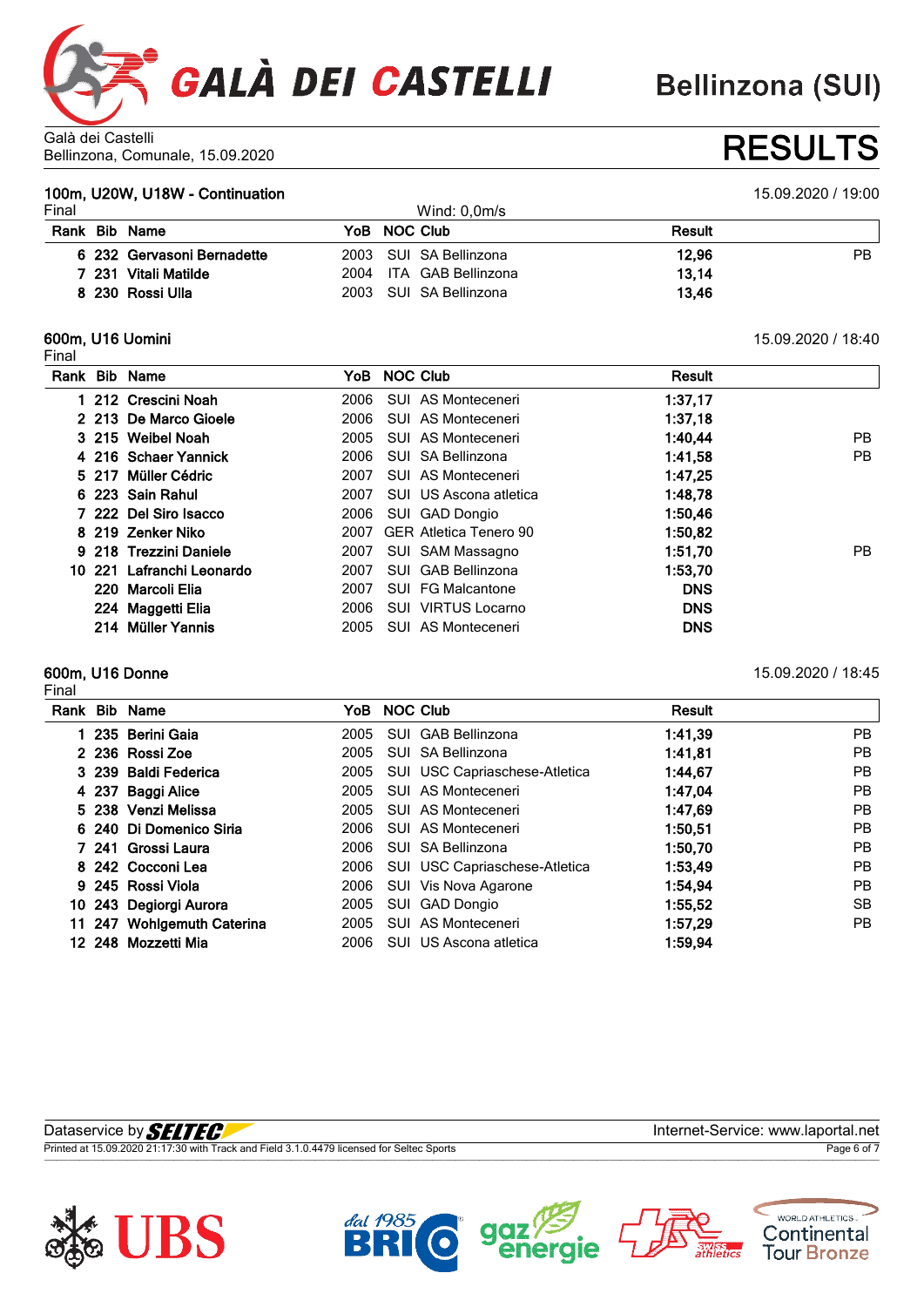

**Bellinzona (SUI)** 

#### Galà dei Castelli Bellinzona, Comunale, 15.09.2020 **RESULTS**

### **100m, U20W, U18W - Continuation** 15.09.2020 / 19:00

| Final |                            | Wind: $0.0m$ /s         |               |    |
|-------|----------------------------|-------------------------|---------------|----|
| Rank  | Bib Name                   | YoB NOC Club            | <b>Result</b> |    |
|       | 6 232 Gervasoni Bernadette | 2003 SUI SA Bellinzona  | 12.96         | ΡB |
|       | 7 231 Vitali Matilde       | 2004 ITA GAB Bellinzona | 13.14         |    |
|       | 8 230 Rossi Ulla           | 2003 SUI SA Bellinzona  | 13.46         |    |

#### **600m, U16 Uomini** 15.09.2020 / 18:40 Final

|  | Rank Bib Name             |      | YoB NOC Club                  | <b>Result</b> |    |
|--|---------------------------|------|-------------------------------|---------------|----|
|  | 1 212 Crescini Noah       | 2006 | SUI AS Monteceneri            | 1:37,17       |    |
|  | 2 213 De Marco Gioele     | 2006 | SUI AS Monteceneri            | 1:37.18       |    |
|  | 3 215 Weibel Noah         | 2005 | SUI AS Monteceneri            | 1:40,44       | PB |
|  | 4 216 Schaer Yannick      | 2006 | SUI SA Bellinzona             | 1:41,58       | PB |
|  | 5 217 Müller Cédric       | 2007 | SUI AS Monteceneri            | 1:47,25       |    |
|  | 6 223 Sain Rahul          | 2007 | SUI US Ascona atletica        | 1:48.78       |    |
|  | 7 222 Del Siro Isacco     | 2006 | SUI GAD Dongio                | 1:50.46       |    |
|  | 8 219 Zenker Niko         | 2007 | <b>GER Atletica Tenero 90</b> | 1:50,82       |    |
|  | 9 218 Trezzini Daniele    | 2007 | SUI SAM Massagno              | 1:51.70       | PB |
|  | 10 221 Lafranchi Leonardo | 2007 | SUI GAB Bellinzona            | 1:53,70       |    |
|  | 220 Marcoli Elia          | 2007 | SUI FG Malcantone             | <b>DNS</b>    |    |
|  | 224 Maggetti Elia         | 2006 | SUI VIRTUS Locarno            | <b>DNS</b>    |    |
|  | 214 Müller Yannis         | 2005 | SUI AS Monteceneri            | <b>DNS</b>    |    |

#### **600m, U16 Donne** 15.09.2020 / 18:45 Final

| Rank | <b>Bib Name</b>            | YoB. | <b>NOC Club</b>               | Result  |           |
|------|----------------------------|------|-------------------------------|---------|-----------|
|      | 235 Berini Gaia            | 2005 | SUI GAB Bellinzona            | 1:41,39 | <b>PB</b> |
|      | 2 236 Rossi Zoe            | 2005 | SUI SA Bellinzona             | 1:41,81 | <b>PB</b> |
|      | 3 239 Baldi Federica       | 2005 | SUI USC Capriaschese-Atletica | 1:44.67 | <b>PB</b> |
|      | 4 237 Baggi Alice          | 2005 | SUI AS Monteceneri            | 1:47.04 | <b>PB</b> |
|      | 5 238 Venzi Melissa        | 2005 | SUI AS Monteceneri            | 1:47.69 | <b>PB</b> |
|      | 6 240 Di Domenico Siria    | 2006 | SUI AS Monteceneri            | 1:50,51 | <b>PB</b> |
|      | 7 241 Grossi Laura         | 2006 | SUI SA Bellinzona             | 1:50,70 | <b>PB</b> |
|      | 8 242 Cocconi Lea          | 2006 | SUI USC Capriaschese-Atletica | 1:53,49 | <b>PB</b> |
|      | 9 245 Rossi Viola          | 2006 | SUI Vis Nova Agarone          | 1:54.94 | <b>PB</b> |
|      | 10 243 Degiorgi Aurora     | 2005 | SUI GAD Dongio                | 1:55.52 | SB        |
|      | 11 247 Wohlgemuth Caterina | 2005 | SUI AS Monteceneri            | 1:57,29 | PB.       |
|      | 12 248 Mozzetti Mia        | 2006 | SUI US Ascona atletica        | 1:59,94 |           |

| Dataservice by <b>SELTECI</b>                                                             | Internet-Service: www.laportal.net |
|-------------------------------------------------------------------------------------------|------------------------------------|
| Printed at 15.09.2020 21:17:30 with Track and Field 3.1.0.4479 licensed for Seltec Sports | Page 6 of                          |
|                                                                                           |                                    |